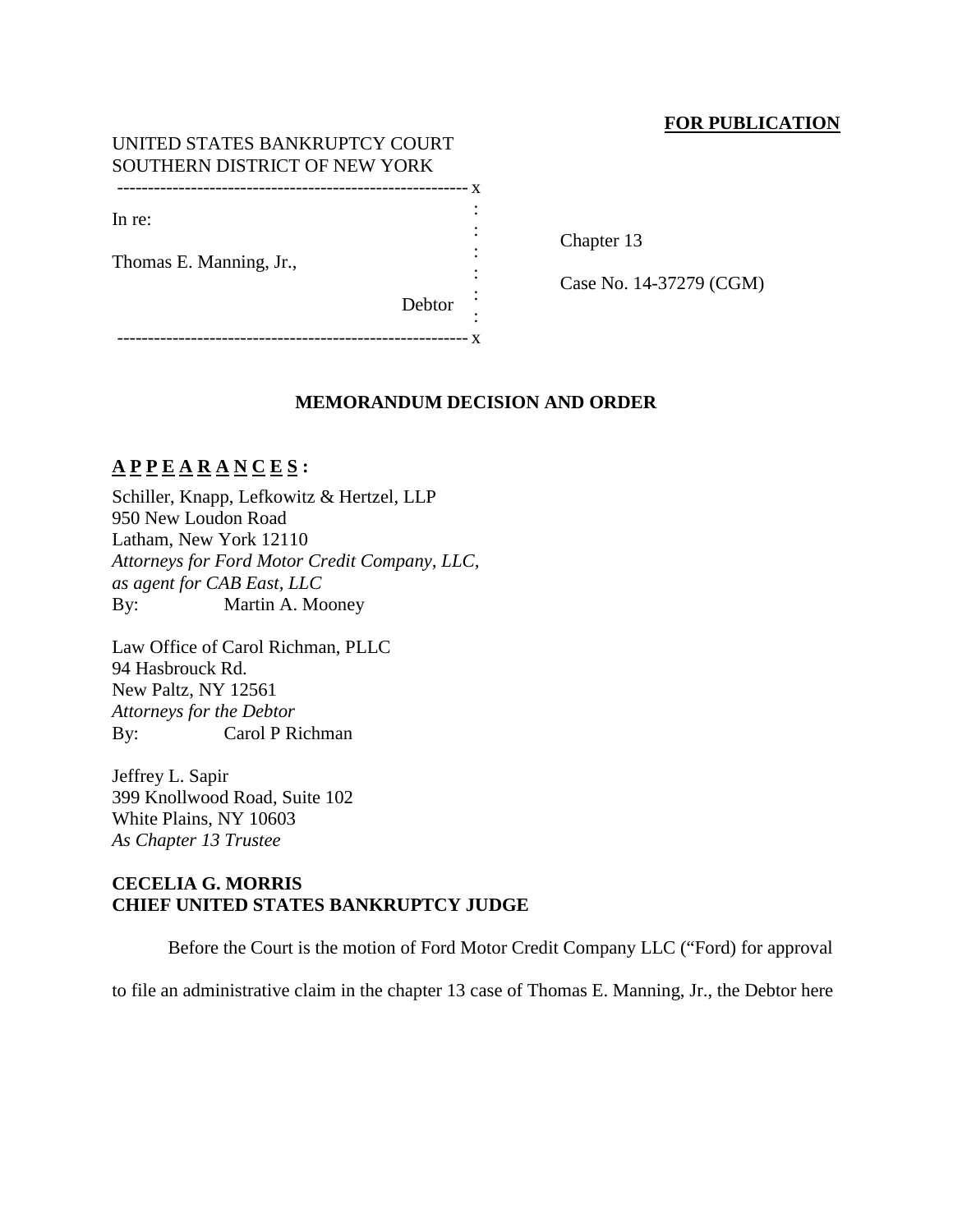# **FOR PUBLICATION**

### UNITED STATES BANKRUPTCY COURT SOUTHERN DISTRICT OF NEW YORK --------------------------------------------------------- x

In re:

Thomas E. Manning, Jr.,

Chapter 13

Case No. 14-37279 (CGM)

Debtor :

:

: : : :

--------------------------------------------------------- x

### **MEMORANDUM DECISION AND ORDER**

# **A P P E A R A N C E S :**

Schiller, Knapp, Lefkowitz & Hertzel, LLP 950 New Loudon Road Latham, New York 12110 *Attorneys for Ford Motor Credit Company, LLC, as agent for CAB East, LLC* By: Martin A. Mooney

Law Office of Carol Richman, PLLC 94 Hasbrouck Rd. New Paltz, NY 12561 *Attorneys for the Debtor* By: Carol P Richman

Jeffrey L. Sapir 399 Knollwood Road, Suite 102 White Plains, NY 10603 *As Chapter 13 Trustee*

## **CECELIA G. MORRIS CHIEF UNITED STATES BANKRUPTCY JUDGE**

Before the Court is the motion of Ford Motor Credit Company LLC ("Ford) for approval

to file an administrative claim in the chapter 13 case of Thomas E. Manning, Jr., the Debtor here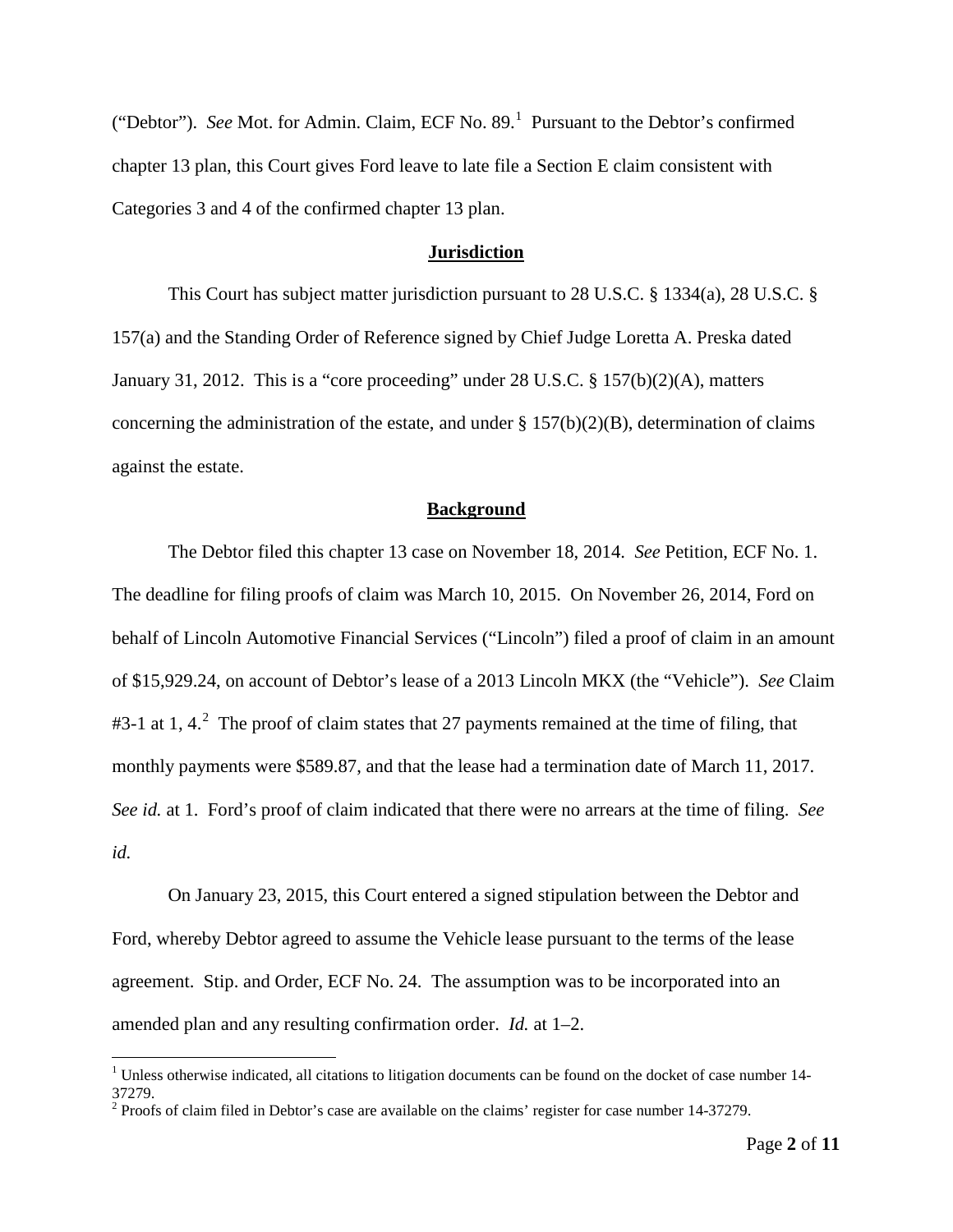("Debtor"). *See* Mot. for Admin. Claim, ECF No. 89. [1](#page-1-0) Pursuant to the Debtor's confirmed chapter 13 plan, this Court gives Ford leave to late file a Section E claim consistent with Categories 3 and 4 of the confirmed chapter 13 plan.

### **Jurisdiction**

This Court has subject matter jurisdiction pursuant to 28 U.S.C. § 1334(a), 28 U.S.C. § 157(a) and the Standing Order of Reference signed by Chief Judge Loretta A. Preska dated January 31, 2012. This is a "core proceeding" under 28 U.S.C. § 157(b)(2)(A), matters concerning the administration of the estate, and under  $\S 157(b)(2)(B)$ , determination of claims against the estate.

### **Background**

The Debtor filed this chapter 13 case on November 18, 2014. *See* Petition, ECF No. 1. The deadline for filing proofs of claim was March 10, 2015. On November 26, 2014, Ford on behalf of Lincoln Automotive Financial Services ("Lincoln") filed a proof of claim in an amount of \$15,929.24, on account of Debtor's lease of a 2013 Lincoln MKX (the "Vehicle"). *See* Claim #3-1 at 1, 4.<sup>[2](#page-1-1)</sup> The proof of claim states that 27 payments remained at the time of filing, that monthly payments were \$589.87, and that the lease had a termination date of March 11, 2017. *See id.* at 1. Ford's proof of claim indicated that there were no arrears at the time of filing. *See id.*

On January 23, 2015, this Court entered a signed stipulation between the Debtor and Ford, whereby Debtor agreed to assume the Vehicle lease pursuant to the terms of the lease agreement. Stip. and Order, ECF No. 24. The assumption was to be incorporated into an amended plan and any resulting confirmation order. *Id.* at 1–2.

<span id="page-1-0"></span> $1$  Unless otherwise indicated, all citations to litigation documents can be found on the docket of case number 14-37279.

<span id="page-1-1"></span> $2$  Proofs of claim filed in Debtor's case are available on the claims' register for case number 14-37279.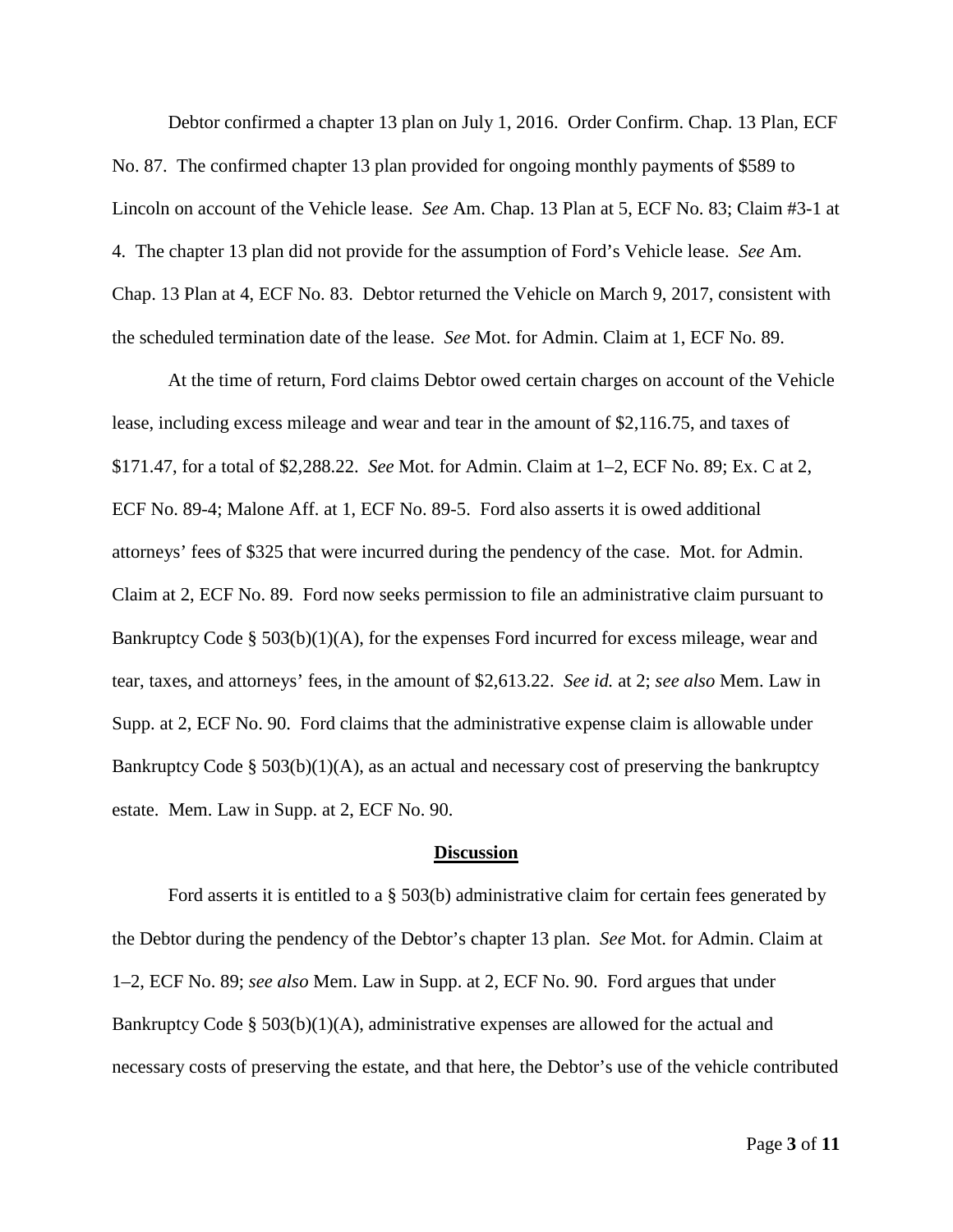Debtor confirmed a chapter 13 plan on July 1, 2016. Order Confirm. Chap. 13 Plan, ECF No. 87. The confirmed chapter 13 plan provided for ongoing monthly payments of \$589 to Lincoln on account of the Vehicle lease. *See* Am. Chap. 13 Plan at 5, ECF No. 83; Claim #3-1 at 4. The chapter 13 plan did not provide for the assumption of Ford's Vehicle lease. *See* Am. Chap. 13 Plan at 4, ECF No. 83. Debtor returned the Vehicle on March 9, 2017, consistent with the scheduled termination date of the lease. *See* Mot. for Admin. Claim at 1, ECF No. 89.

At the time of return, Ford claims Debtor owed certain charges on account of the Vehicle lease, including excess mileage and wear and tear in the amount of \$2,116.75, and taxes of \$171.47, for a total of \$2,288.22. *See* Mot. for Admin. Claim at 1–2, ECF No. 89; Ex. C at 2, ECF No. 89-4; Malone Aff. at 1, ECF No. 89-5. Ford also asserts it is owed additional attorneys' fees of \$325 that were incurred during the pendency of the case. Mot. for Admin. Claim at 2, ECF No. 89. Ford now seeks permission to file an administrative claim pursuant to Bankruptcy Code § 503(b)(1)(A), for the expenses Ford incurred for excess mileage, wear and tear, taxes, and attorneys' fees, in the amount of \$2,613.22. *See id.* at 2; *see also* Mem. Law in Supp. at 2, ECF No. 90. Ford claims that the administrative expense claim is allowable under Bankruptcy Code §  $503(b)(1)(A)$ , as an actual and necessary cost of preserving the bankruptcy estate. Mem. Law in Supp. at 2, ECF No. 90.

#### **Discussion**

Ford asserts it is entitled to a § 503(b) administrative claim for certain fees generated by the Debtor during the pendency of the Debtor's chapter 13 plan. *See* Mot. for Admin. Claim at 1–2, ECF No. 89; *see also* Mem. Law in Supp. at 2, ECF No. 90. Ford argues that under Bankruptcy Code §  $503(b)(1)(A)$ , administrative expenses are allowed for the actual and necessary costs of preserving the estate, and that here, the Debtor's use of the vehicle contributed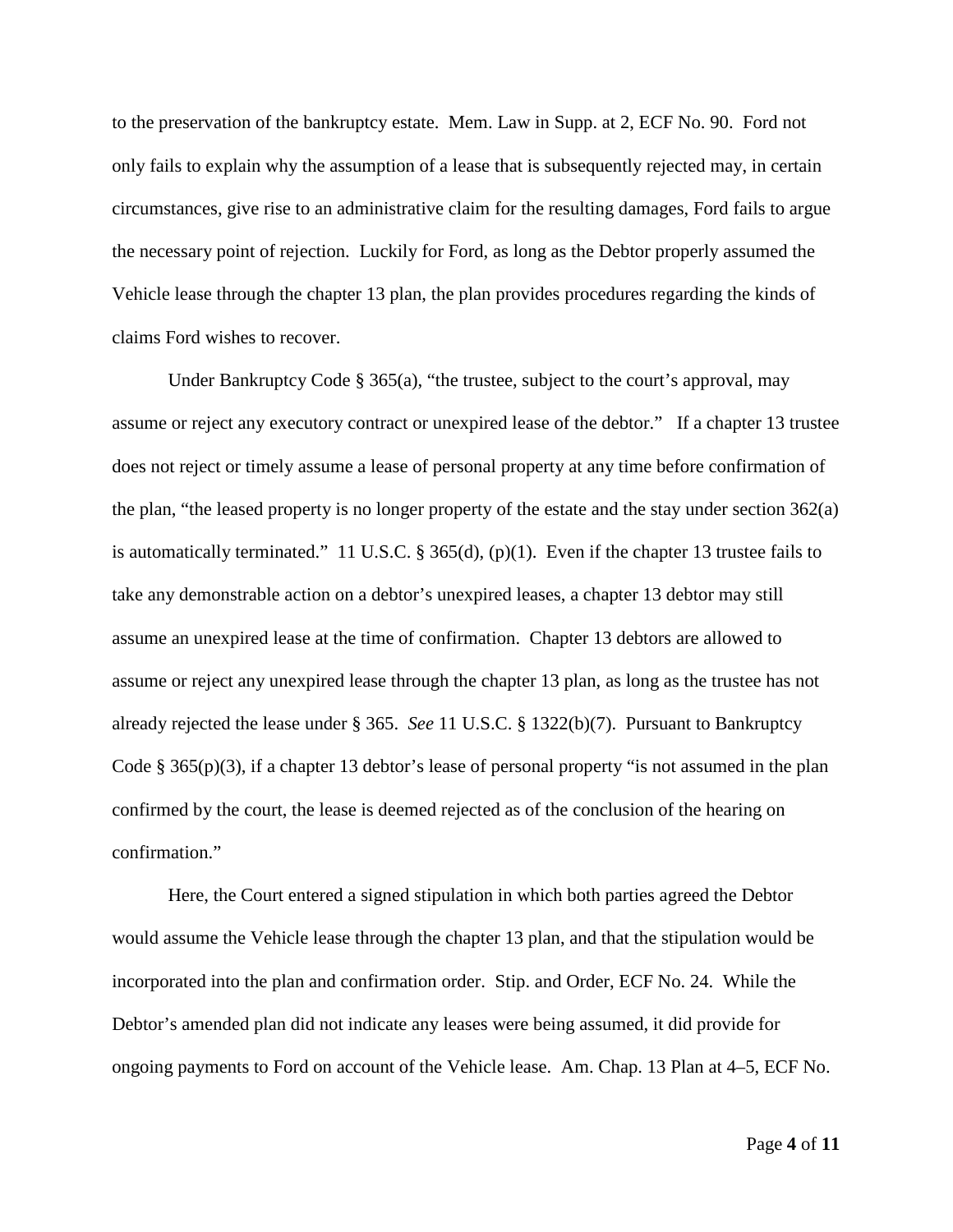to the preservation of the bankruptcy estate. Mem. Law in Supp. at 2, ECF No. 90. Ford not only fails to explain why the assumption of a lease that is subsequently rejected may, in certain circumstances, give rise to an administrative claim for the resulting damages, Ford fails to argue the necessary point of rejection. Luckily for Ford, as long as the Debtor properly assumed the Vehicle lease through the chapter 13 plan, the plan provides procedures regarding the kinds of claims Ford wishes to recover.

Under Bankruptcy Code § 365(a), "the trustee, subject to the court's approval, may assume or reject any executory contract or unexpired lease of the debtor." If a chapter 13 trustee does not reject or timely assume a lease of personal property at any time before confirmation of the plan, "the leased property is no longer property of the estate and the stay under section  $362(a)$ is automatically terminated." 11 U.S.C. § 365(d), (p)(1). Even if the chapter 13 trustee fails to take any demonstrable action on a debtor's unexpired leases, a chapter 13 debtor may still assume an unexpired lease at the time of confirmation. Chapter 13 debtors are allowed to assume or reject any unexpired lease through the chapter 13 plan, as long as the trustee has not already rejected the lease under § 365. *See* 11 U.S.C. § 1322(b)(7). Pursuant to Bankruptcy Code § 365(p)(3), if a chapter 13 debtor's lease of personal property "is not assumed in the plan confirmed by the court, the lease is deemed rejected as of the conclusion of the hearing on confirmation."

Here, the Court entered a signed stipulation in which both parties agreed the Debtor would assume the Vehicle lease through the chapter 13 plan, and that the stipulation would be incorporated into the plan and confirmation order. Stip. and Order, ECF No. 24. While the Debtor's amended plan did not indicate any leases were being assumed, it did provide for ongoing payments to Ford on account of the Vehicle lease. Am. Chap. 13 Plan at 4–5, ECF No.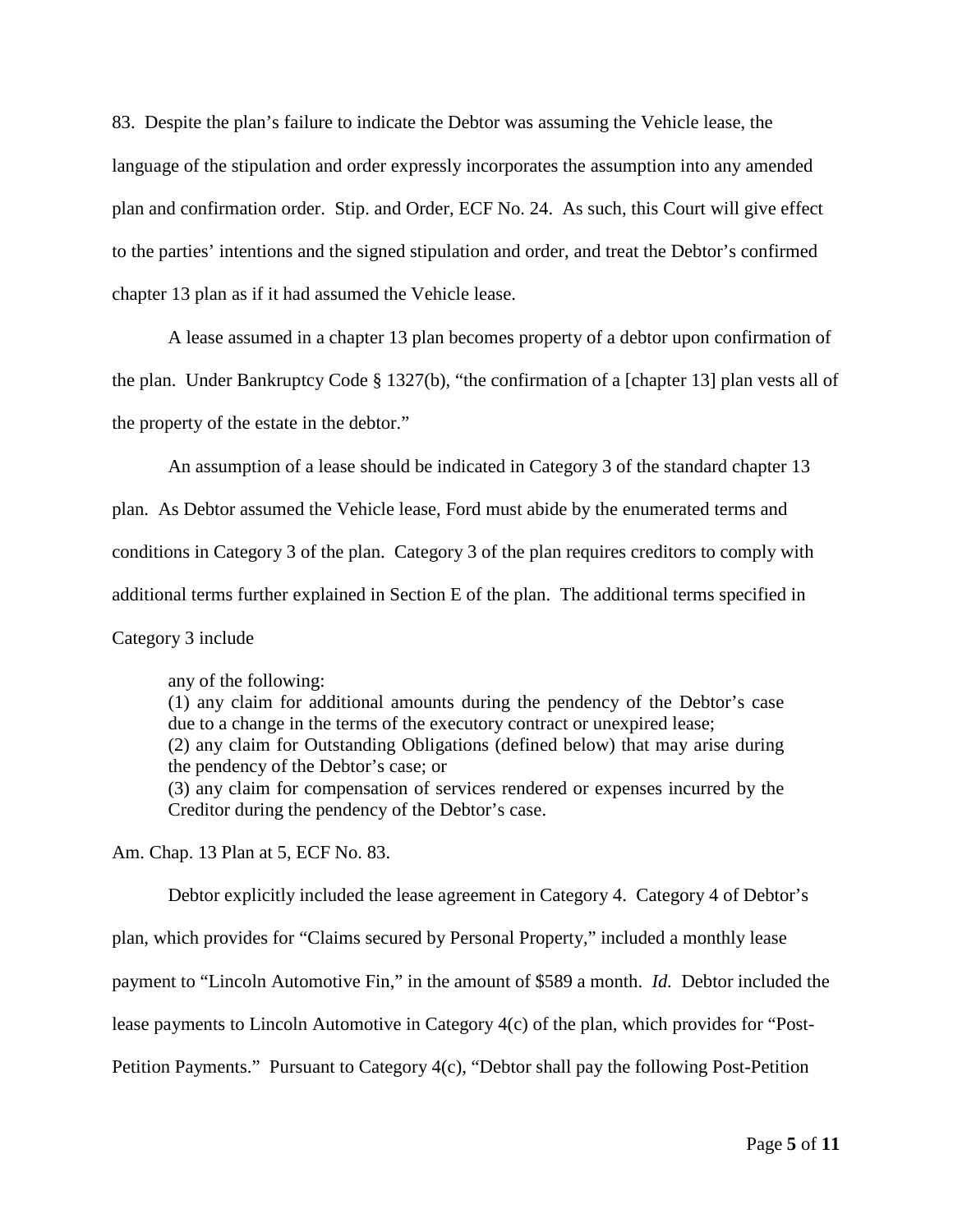83. Despite the plan's failure to indicate the Debtor was assuming the Vehicle lease, the language of the stipulation and order expressly incorporates the assumption into any amended plan and confirmation order. Stip. and Order, ECF No. 24. As such, this Court will give effect to the parties' intentions and the signed stipulation and order, and treat the Debtor's confirmed chapter 13 plan as if it had assumed the Vehicle lease.

A lease assumed in a chapter 13 plan becomes property of a debtor upon confirmation of

the plan. Under Bankruptcy Code § 1327(b), "the confirmation of a [chapter 13] plan vests all of the property of the estate in the debtor."

An assumption of a lease should be indicated in Category 3 of the standard chapter 13

plan. As Debtor assumed the Vehicle lease, Ford must abide by the enumerated terms and

conditions in Category 3 of the plan. Category 3 of the plan requires creditors to comply with

additional terms further explained in Section E of the plan. The additional terms specified in

Category 3 include

any of the following:

(1) any claim for additional amounts during the pendency of the Debtor's case due to a change in the terms of the executory contract or unexpired lease; (2) any claim for Outstanding Obligations (defined below) that may arise during the pendency of the Debtor's case; or (3) any claim for compensation of services rendered or expenses incurred by the Creditor during the pendency of the Debtor's case.

Am. Chap. 13 Plan at 5, ECF No. 83.

Debtor explicitly included the lease agreement in Category 4. Category 4 of Debtor's plan, which provides for "Claims secured by Personal Property," included a monthly lease payment to "Lincoln Automotive Fin," in the amount of \$589 a month. *Id.* Debtor included the lease payments to Lincoln Automotive in Category 4(c) of the plan, which provides for "Post-Petition Payments." Pursuant to Category 4(c), "Debtor shall pay the following Post-Petition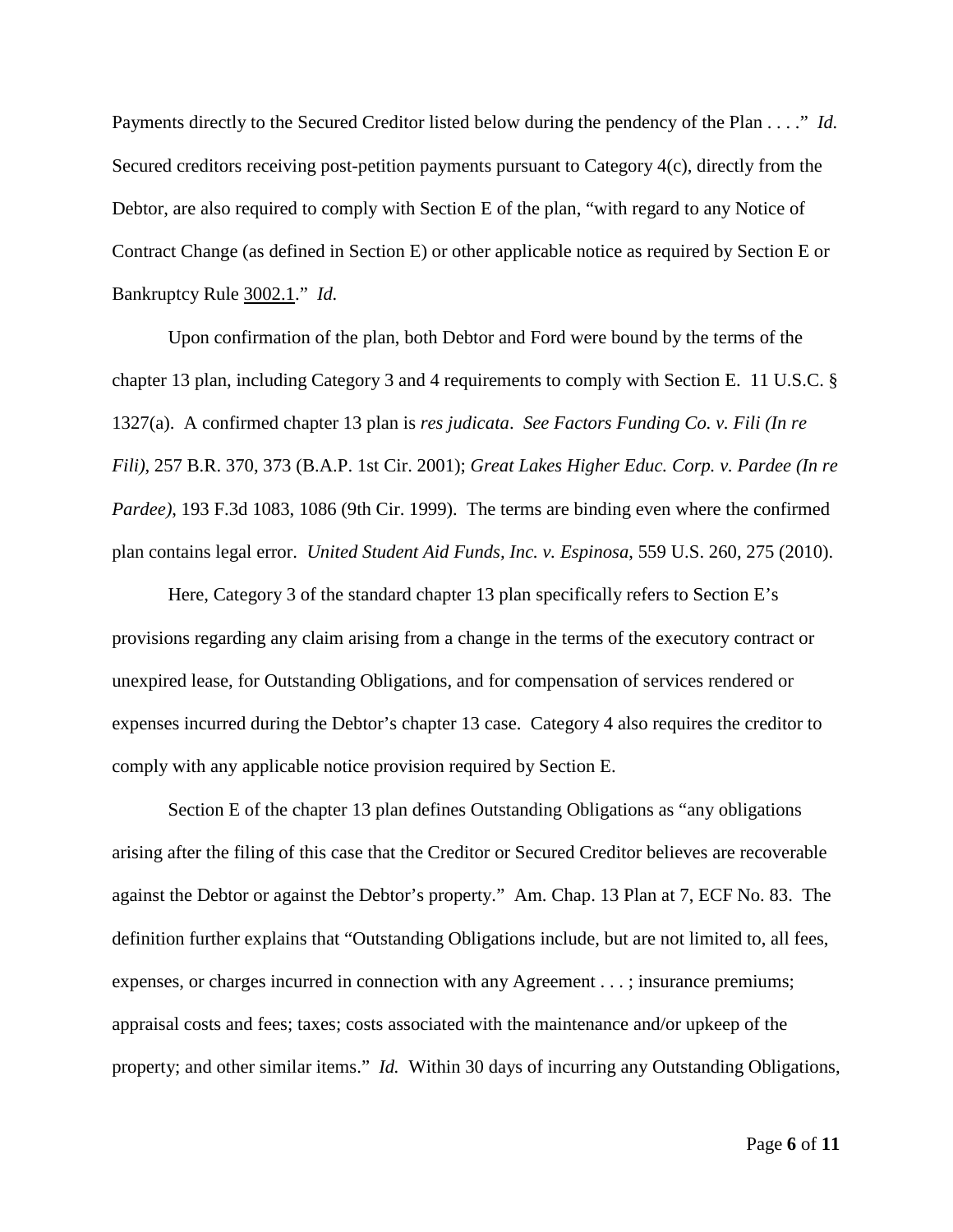Payments directly to the Secured Creditor listed below during the pendency of the Plan . . . ." *Id.* Secured creditors receiving post-petition payments pursuant to Category 4(c), directly from the Debtor, are also required to comply with Section E of the plan, "with regard to any Notice of Contract Change (as defined in Section E) or other applicable notice as required by Section E or Bankruptcy Rule 3002.1." *Id.*

Upon confirmation of the plan, both Debtor and Ford were bound by the terms of the chapter 13 plan, including Category 3 and 4 requirements to comply with Section E. 11 U.S.C. § 1327(a). A confirmed chapter 13 plan is *res judicata*. *See Factors Funding Co. v. Fili (In re Fili)*, 257 B.R. 370, 373 (B.A.P. 1st Cir. 2001); *Great Lakes Higher Educ. Corp. v. Pardee (In re Pardee)*, 193 F.3d 1083, 1086 (9th Cir. 1999). The terms are binding even where the confirmed plan contains legal error. *United Student Aid Funds, Inc. v. Espinosa*, 559 U.S. 260, 275 (2010).

Here, Category 3 of the standard chapter 13 plan specifically refers to Section E's provisions regarding any claim arising from a change in the terms of the executory contract or unexpired lease, for Outstanding Obligations, and for compensation of services rendered or expenses incurred during the Debtor's chapter 13 case. Category 4 also requires the creditor to comply with any applicable notice provision required by Section E.

Section E of the chapter 13 plan defines Outstanding Obligations as "any obligations arising after the filing of this case that the Creditor or Secured Creditor believes are recoverable against the Debtor or against the Debtor's property." Am. Chap. 13 Plan at 7, ECF No. 83. The definition further explains that "Outstanding Obligations include, but are not limited to, all fees, expenses, or charges incurred in connection with any Agreement . . . ; insurance premiums; appraisal costs and fees; taxes; costs associated with the maintenance and/or upkeep of the property; and other similar items." *Id.* Within 30 days of incurring any Outstanding Obligations,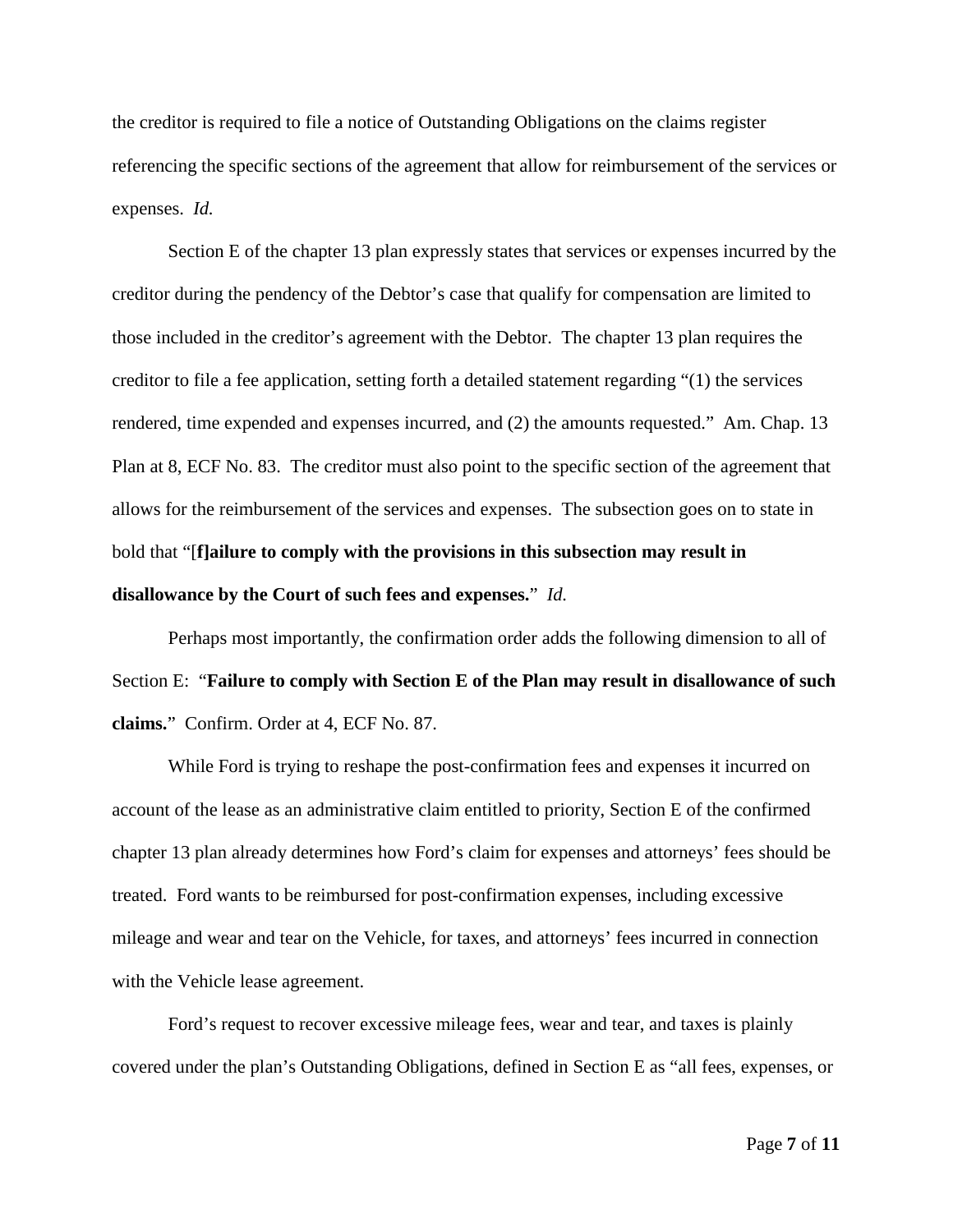the creditor is required to file a notice of Outstanding Obligations on the claims register referencing the specific sections of the agreement that allow for reimbursement of the services or expenses. *Id.*

Section E of the chapter 13 plan expressly states that services or expenses incurred by the creditor during the pendency of the Debtor's case that qualify for compensation are limited to those included in the creditor's agreement with the Debtor. The chapter 13 plan requires the creditor to file a fee application, setting forth a detailed statement regarding "(1) the services rendered, time expended and expenses incurred, and (2) the amounts requested." Am. Chap. 13 Plan at 8, ECF No. 83. The creditor must also point to the specific section of the agreement that allows for the reimbursement of the services and expenses. The subsection goes on to state in bold that "[**f]ailure to comply with the provisions in this subsection may result in disallowance by the Court of such fees and expenses.**" *Id.*

Perhaps most importantly, the confirmation order adds the following dimension to all of Section E: "**Failure to comply with Section E of the Plan may result in disallowance of such claims.**" Confirm. Order at 4, ECF No. 87.

While Ford is trying to reshape the post-confirmation fees and expenses it incurred on account of the lease as an administrative claim entitled to priority, Section E of the confirmed chapter 13 plan already determines how Ford's claim for expenses and attorneys' fees should be treated. Ford wants to be reimbursed for post-confirmation expenses, including excessive mileage and wear and tear on the Vehicle, for taxes, and attorneys' fees incurred in connection with the Vehicle lease agreement.

Ford's request to recover excessive mileage fees, wear and tear, and taxes is plainly covered under the plan's Outstanding Obligations, defined in Section E as "all fees, expenses, or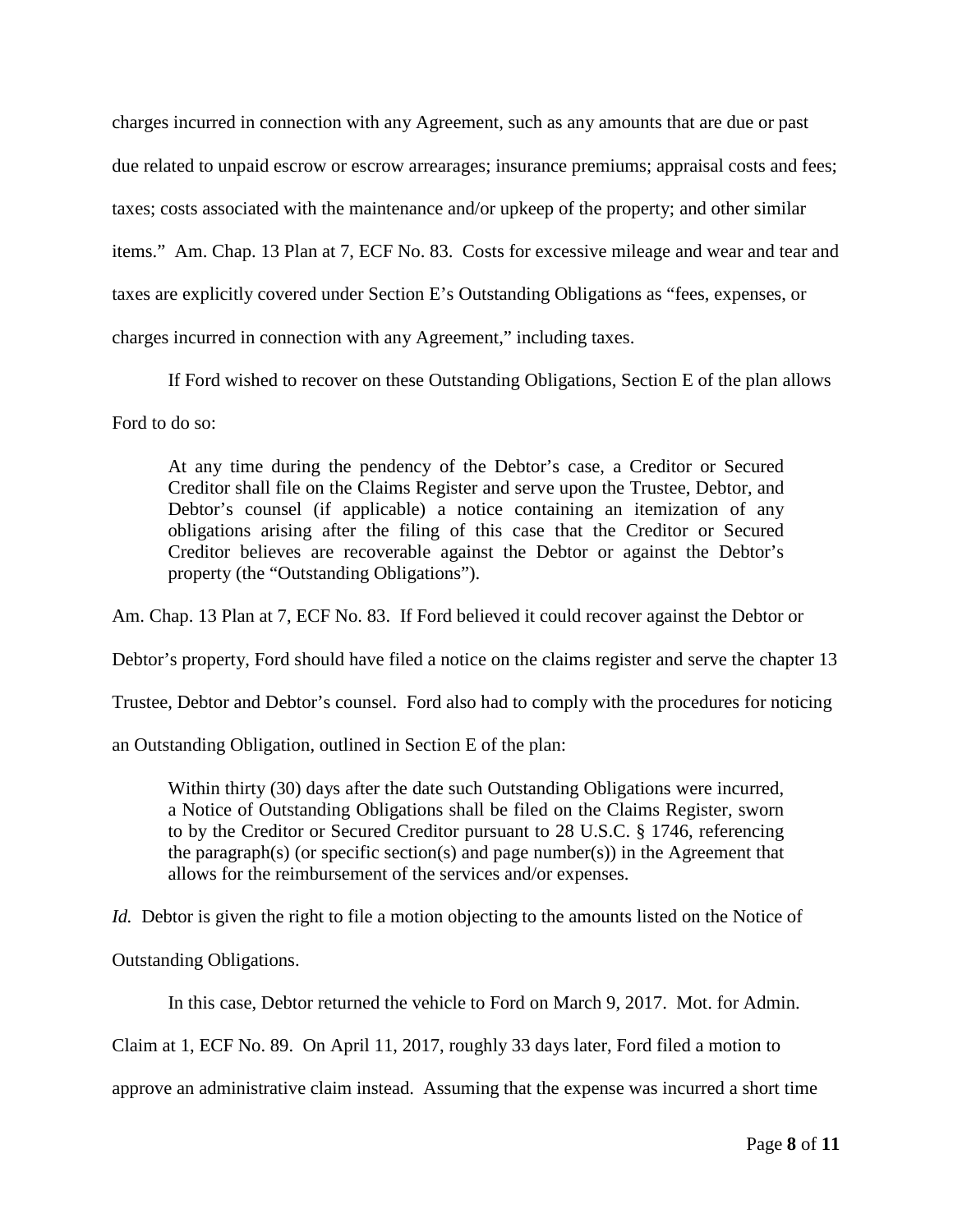charges incurred in connection with any Agreement, such as any amounts that are due or past due related to unpaid escrow or escrow arrearages; insurance premiums; appraisal costs and fees; taxes; costs associated with the maintenance and/or upkeep of the property; and other similar items." Am. Chap. 13 Plan at 7, ECF No. 83. Costs for excessive mileage and wear and tear and taxes are explicitly covered under Section E's Outstanding Obligations as "fees, expenses, or charges incurred in connection with any Agreement," including taxes.

If Ford wished to recover on these Outstanding Obligations, Section E of the plan allows

Ford to do so:

At any time during the pendency of the Debtor's case, a Creditor or Secured Creditor shall file on the Claims Register and serve upon the Trustee, Debtor, and Debtor's counsel (if applicable) a notice containing an itemization of any obligations arising after the filing of this case that the Creditor or Secured Creditor believes are recoverable against the Debtor or against the Debtor's property (the "Outstanding Obligations").

Am. Chap. 13 Plan at 7, ECF No. 83. If Ford believed it could recover against the Debtor or

Debtor's property, Ford should have filed a notice on the claims register and serve the chapter 13

Trustee, Debtor and Debtor's counsel. Ford also had to comply with the procedures for noticing

an Outstanding Obligation, outlined in Section E of the plan:

Within thirty (30) days after the date such Outstanding Obligations were incurred, a Notice of Outstanding Obligations shall be filed on the Claims Register, sworn to by the Creditor or Secured Creditor pursuant to 28 U.S.C. § 1746, referencing the paragraph(s) (or specific section(s) and page number(s)) in the Agreement that allows for the reimbursement of the services and/or expenses.

*Id.* Debtor is given the right to file a motion objecting to the amounts listed on the Notice of

Outstanding Obligations.

In this case, Debtor returned the vehicle to Ford on March 9, 2017. Mot. for Admin.

Claim at 1, ECF No. 89. On April 11, 2017, roughly 33 days later, Ford filed a motion to

approve an administrative claim instead. Assuming that the expense was incurred a short time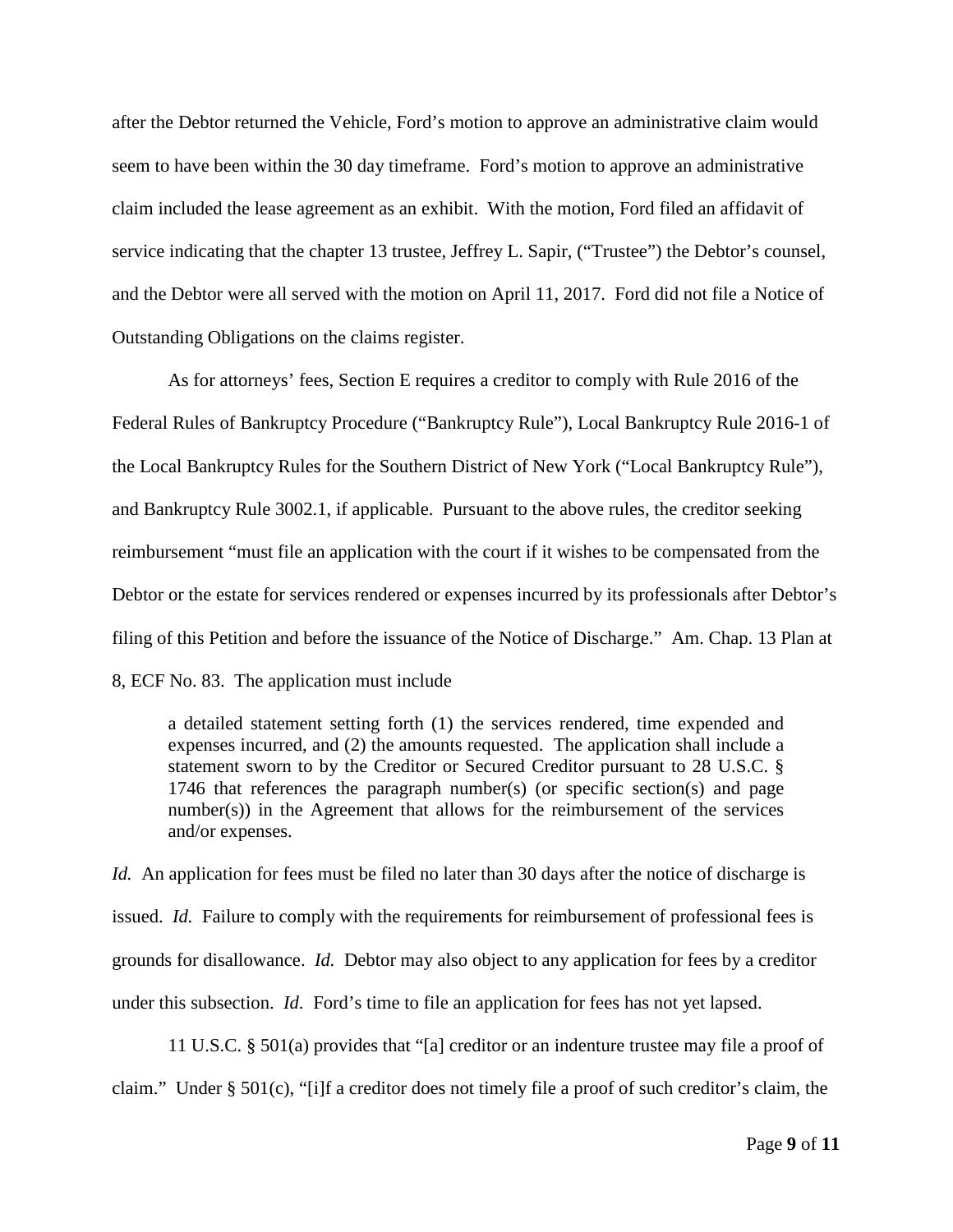after the Debtor returned the Vehicle, Ford's motion to approve an administrative claim would seem to have been within the 30 day timeframe. Ford's motion to approve an administrative claim included the lease agreement as an exhibit. With the motion, Ford filed an affidavit of service indicating that the chapter 13 trustee, Jeffrey L. Sapir, ("Trustee") the Debtor's counsel, and the Debtor were all served with the motion on April 11, 2017. Ford did not file a Notice of Outstanding Obligations on the claims register.

As for attorneys' fees, Section E requires a creditor to comply with Rule 2016 of the Federal Rules of Bankruptcy Procedure ("Bankruptcy Rule"), Local Bankruptcy Rule 2016-1 of the Local Bankruptcy Rules for the Southern District of New York ("Local Bankruptcy Rule"), and Bankruptcy Rule 3002.1, if applicable. Pursuant to the above rules, the creditor seeking reimbursement "must file an application with the court if it wishes to be compensated from the Debtor or the estate for services rendered or expenses incurred by its professionals after Debtor's filing of this Petition and before the issuance of the Notice of Discharge." Am. Chap. 13 Plan at 8, ECF No. 83. The application must include

a detailed statement setting forth (1) the services rendered, time expended and expenses incurred, and (2) the amounts requested. The application shall include a statement sworn to by the Creditor or Secured Creditor pursuant to 28 U.S.C. § 1746 that references the paragraph number(s) (or specific section(s) and page number(s)) in the Agreement that allows for the reimbursement of the services and/or expenses.

*Id.* An application for fees must be filed no later than 30 days after the notice of discharge is issued. *Id.* Failure to comply with the requirements for reimbursement of professional fees is grounds for disallowance. *Id.* Debtor may also object to any application for fees by a creditor under this subsection. *Id.* Ford's time to file an application for fees has not yet lapsed.

11 U.S.C. § 501(a) provides that "[a] creditor or an indenture trustee may file a proof of claim." Under § 501(c), "[i]f a creditor does not timely file a proof of such creditor's claim, the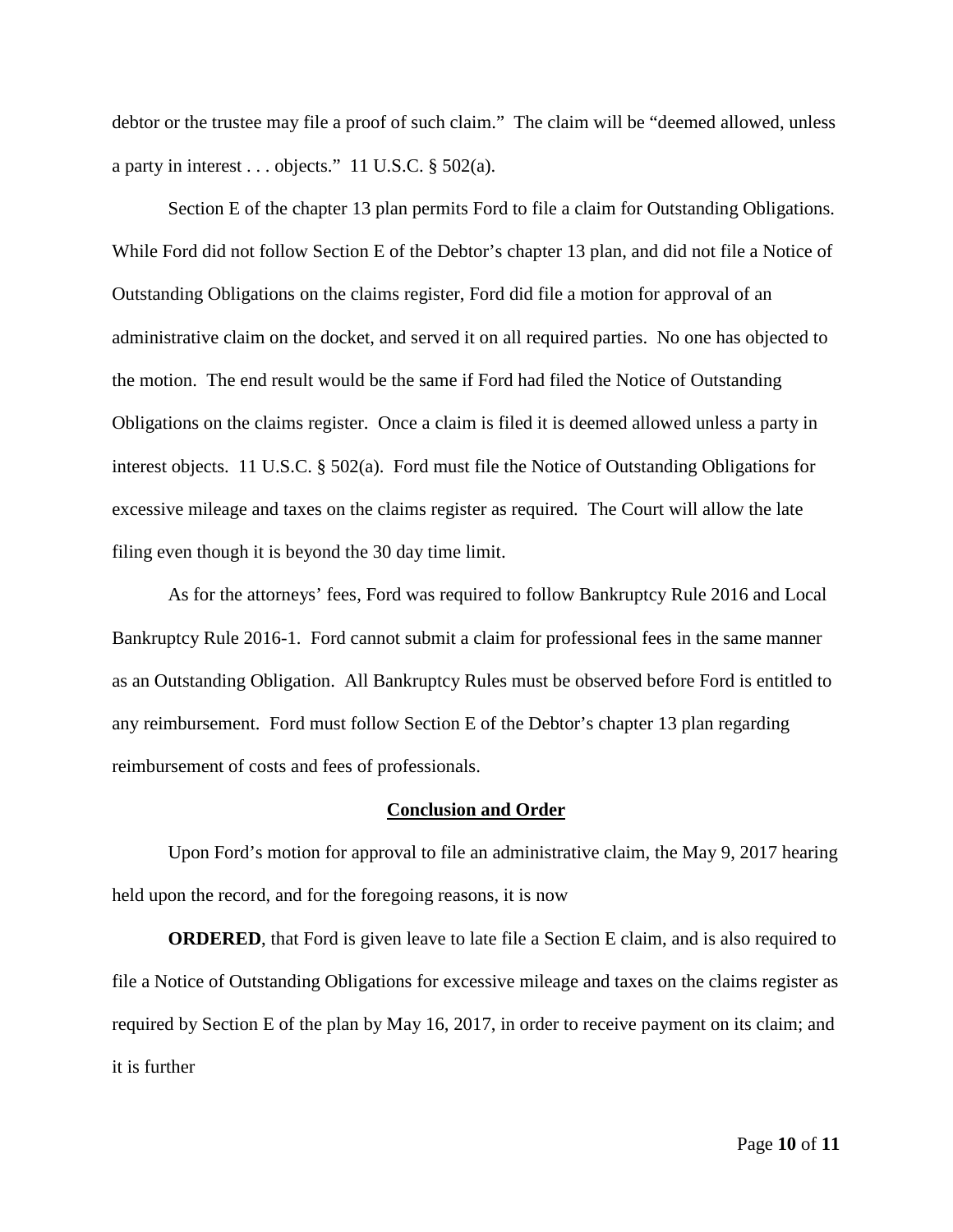debtor or the trustee may file a proof of such claim." The claim will be "deemed allowed, unless a party in interest . . . objects." 11 U.S.C. § 502(a).

Section E of the chapter 13 plan permits Ford to file a claim for Outstanding Obligations. While Ford did not follow Section E of the Debtor's chapter 13 plan, and did not file a Notice of Outstanding Obligations on the claims register, Ford did file a motion for approval of an administrative claim on the docket, and served it on all required parties. No one has objected to the motion. The end result would be the same if Ford had filed the Notice of Outstanding Obligations on the claims register. Once a claim is filed it is deemed allowed unless a party in interest objects. 11 U.S.C. § 502(a). Ford must file the Notice of Outstanding Obligations for excessive mileage and taxes on the claims register as required. The Court will allow the late filing even though it is beyond the 30 day time limit.

As for the attorneys' fees, Ford was required to follow Bankruptcy Rule 2016 and Local Bankruptcy Rule 2016-1. Ford cannot submit a claim for professional fees in the same manner as an Outstanding Obligation. All Bankruptcy Rules must be observed before Ford is entitled to any reimbursement. Ford must follow Section E of the Debtor's chapter 13 plan regarding reimbursement of costs and fees of professionals.

#### **Conclusion and Order**

Upon Ford's motion for approval to file an administrative claim, the May 9, 2017 hearing held upon the record, and for the foregoing reasons, it is now

**ORDERED**, that Ford is given leave to late file a Section E claim, and is also required to file a Notice of Outstanding Obligations for excessive mileage and taxes on the claims register as required by Section E of the plan by May 16, 2017, in order to receive payment on its claim; and it is further